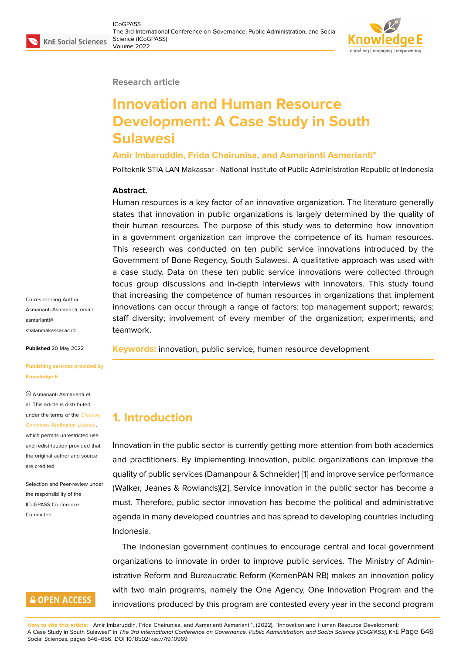

#### **Research article**

# **Innovation and Human Resource Development: A Case Study in South Sulawesi**

#### **Amir Imbaruddin, Frida Chairunisa, and Asmarianti Asmarianti\***

Politeknik STIA LAN Makassar - National Institute of Public Administration Republic of Indonesia

#### **Abstract.**

Human resources is a key factor of an innovative organization. The literature generally states that innovation in public organizations is largely determined by the quality of their human resources. The purpose of this study was to determine how innovation in a government organization can improve the competence of its human resources. This research was conducted on ten public service innovations introduced by the Government of Bone Regency, South Sulawesi. A qualitative approach was used with a case study. Data on these ten public service innovations were collected through focus group discussions and in-depth interviews with innovators. This study found that increasing the competence of human resources in organizations that implement innovations can occur through a range of factors: top management support; rewards; staff diversity; involvement of every member of the organization; experiments; and teamwork.

**Keywords:** innovation, public service, human resource development

Corresponding Author: Asmarianti Asmarianti; email: asmarianti@ stialanmakassar.ac.id

**Published** 20 May 2022

**[Publishing services p](mailto:asmarianti@stialanmakassar.ac.id)rovided by Knowledge E**

Asmarianti Asmarianti et al. This article is distributed under the terms of the Creative Commons Attribution License,

which permits unrestricted use and redistribution provided that the original author and [source](https://creativecommons.org/licenses/by/4.0/) [are credited.](https://creativecommons.org/licenses/by/4.0/)

Selection and Peer-review under the responsibility of the ICoGPASS Conference **Committee** 

### **GOPEN ACCESS**

**1. Introduction**

Innovation in the public sector is currently getting more attention from both academics and practitioners. By implementing innovation, public organizations can improve the quality of public services (Damanpour & Schneider) [1] and improve service performance (Walker, Jeanes & Rowlands)[2]. Service innovation in the public sector has become a must. Therefore, public sector innovation has become the political and administrative agenda in many developed countries and has spre[ad](#page-9-0) to developing countries including Indonesia.

The Indonesian government continues to encourage central and local government organizations to innovate in order to improve public services. The Ministry of Administrative Reform and Bureaucratic Reform (KemenPAN RB) makes an innovation policy with two main programs, namely the One Agency, One Innovation Program and the innovations produced by this program are contested every year in the second program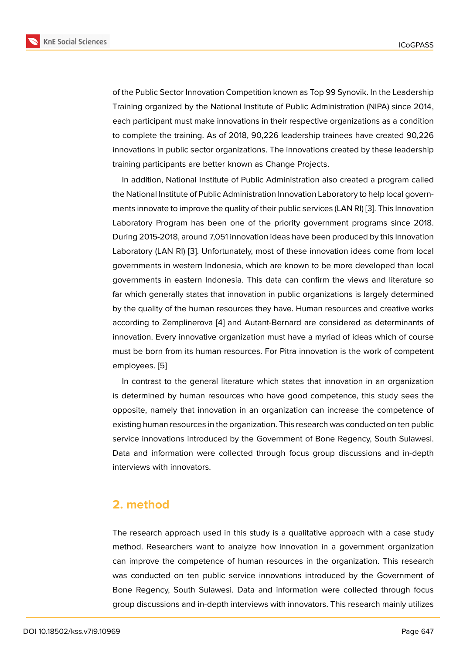of the Public Sector Innovation Competition known as Top 99 Synovik. In the Leadership Training organized by the National Institute of Public Administration (NIPA) since 2014, each participant must make innovations in their respective organizations as a condition to complete the training. As of 2018, 90,226 leadership trainees have created 90,226 innovations in public sector organizations. The innovations created by these leadership training participants are better known as Change Projects.

In addition, National Institute of Public Administration also created a program called the National Institute of Public Administration Innovation Laboratory to help local governments innovate to improve the quality of their public services (LAN RI) [3]. This Innovation Laboratory Program has been one of the priority government programs since 2018. During 2015-2018, around 7,051 innovation ideas have been produced by this Innovation Laboratory (LAN RI) [3]. Unfortunately, most of these innovation idea[s](#page-9-1) come from local governments in western Indonesia, which are known to be more developed than local governments in eastern Indonesia. This data can confirm the views and literature so far which generally s[ta](#page-9-1)tes that innovation in public organizations is largely determined by the quality of the human resources they have. Human resources and creative works according to Zemplinerova [4] and Autant-Bernard are considered as determinants of innovation. Every innovative organization must have a myriad of ideas which of course must be born from its human resources. For Pitra innovation is the work of competent employees. [5]

In contrast to the general literature which states that innovation in an organization is determined by human resources who have good competence, this study sees the opposite, na[m](#page-9-2)ely that innovation in an organization can increase the competence of existing human resources in the organization. This research was conducted on ten public service innovations introduced by the Government of Bone Regency, South Sulawesi. Data and information were collected through focus group discussions and in-depth interviews with innovators.

### **2. method**

The research approach used in this study is a qualitative approach with a case study method. Researchers want to analyze how innovation in a government organization can improve the competence of human resources in the organization. This research was conducted on ten public service innovations introduced by the Government of Bone Regency, South Sulawesi. Data and information were collected through focus group discussions and in-depth interviews with innovators. This research mainly utilizes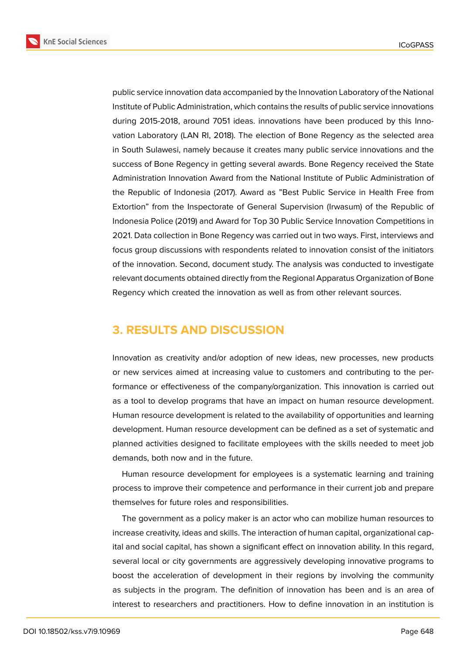**KnE Social Sciences** 



public service innovation data accompanied by the Innovation Laboratory of the National Institute of Public Administration, which contains the results of public service innovations during 2015-2018, around 7051 ideas. innovations have been produced by this Innovation Laboratory (LAN RI, 2018). The election of Bone Regency as the selected area in South Sulawesi, namely because it creates many public service innovations and the success of Bone Regency in getting several awards. Bone Regency received the State Administration Innovation Award from the National Institute of Public Administration of the Republic of Indonesia (2017). Award as "Best Public Service in Health Free from Extortion" from the Inspectorate of General Supervision (Irwasum) of the Republic of Indonesia Police (2019) and Award for Top 30 Public Service Innovation Competitions in 2021. Data collection in Bone Regency was carried out in two ways. First, interviews and focus group discussions with respondents related to innovation consist of the initiators of the innovation. Second, document study. The analysis was conducted to investigate relevant documents obtained directly from the Regional Apparatus Organization of Bone Regency which created the innovation as well as from other relevant sources.

# **3. RESULTS AND DISCUSSION**

Innovation as creativity and/or adoption of new ideas, new processes, new products or new services aimed at increasing value to customers and contributing to the performance or effectiveness of the company/organization. This innovation is carried out as a tool to develop programs that have an impact on human resource development. Human resource development is related to the availability of opportunities and learning development. Human resource development can be defined as a set of systematic and planned activities designed to facilitate employees with the skills needed to meet job demands, both now and in the future.

Human resource development for employees is a systematic learning and training process to improve their competence and performance in their current job and prepare themselves for future roles and responsibilities.

The government as a policy maker is an actor who can mobilize human resources to increase creativity, ideas and skills. The interaction of human capital, organizational capital and social capital, has shown a significant effect on innovation ability. In this regard, several local or city governments are aggressively developing innovative programs to boost the acceleration of development in their regions by involving the community as subjects in the program. The definition of innovation has been and is an area of interest to researchers and practitioners. How to define innovation in an institution is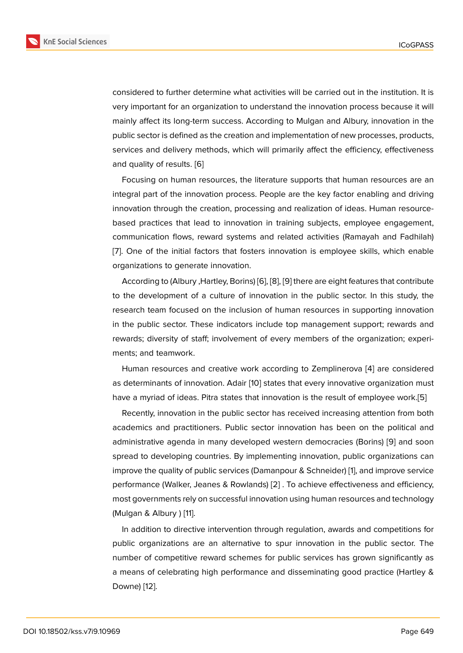considered to further determine what activities will be carried out in the institution. It is very important for an organization to understand the innovation process because it will mainly affect its long-term success. According to Mulgan and Albury, innovation in the public sector is defined as the creation and implementation of new processes, products, services and delivery methods, which will primarily affect the efficiency, effectiveness and quality of results. [6]

Focusing on human resources, the literature supports that human resources are an integral part of the innovation process. People are the key factor enabling and driving innovation through th[e c](#page-9-3)reation, processing and realization of ideas. Human resourcebased practices that lead to innovation in training subjects, employee engagement, communication flows, reward systems and related activities (Ramayah and Fadhilah) [7]. One of the initial factors that fosters innovation is employee skills, which enable organizations to generate innovation.

According to (Albury ,Hartley, Borins) [6], [8], [9] there are eight features that contribute [to](#page-9-4) the development of a culture of innovation in the public sector. In this study, the research team focused on the inclusion of human resources in supporting innovation in the public sector. These indicators i[nc](#page-9-3)l[ud](#page-9-5)e [to](#page-9-6)p management support; rewards and rewards; diversity of staff; involvement of every members of the organization; experiments; and teamwork.

Human resources and creative work according to Zemplinerova [4] are considered as determinants of innovation. Adair [10] states that every innovative organization must have a myriad of ideas. Pitra states that innovation is the result of employee work.[5]

Recently, innovation in the public sector has received increasing a[tte](#page-9-7)ntion from both academics and practitioners. Public [se](#page-9-8)ctor innovation has been on the political and administrative agenda in many developed western democracies (Borins) [9] and s[oo](#page-9-2)n spread to developing countries. By implementing innovation, public organizations can improve the quality of public services (Damanpour & Schneider) [1], and improve service performance (Walker, Jeanes & Rowlands) [2] . To achieve effectiveness a[nd](#page-9-6) efficiency, most governments rely on successful innovation using human resources and technology (Mulgan & Albury ) [11].

In addition to directive intervention thro[ug](#page-9-9)h regulation, awards and competitions for public organizations are an alternative to spur innovation in the public sector. The number of competi[tiv](#page-9-10)e reward schemes for public services has grown significantly as a means of celebrating high performance and disseminating good practice (Hartley & Downe) [12].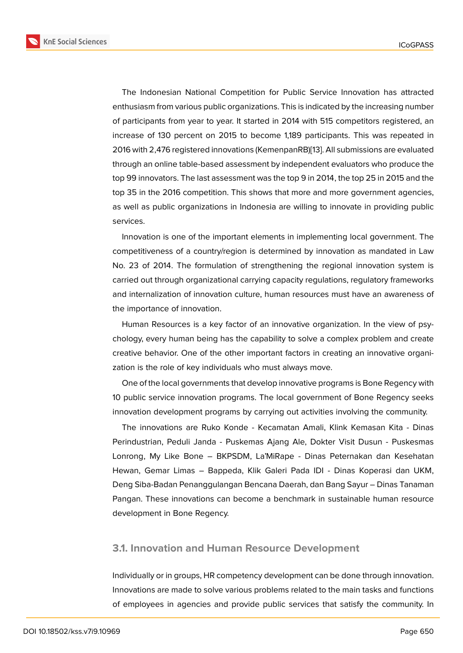The Indonesian National Competition for Public Service Innovation has attracted enthusiasm from various public organizations. This is indicated by the increasing number of participants from year to year. It started in 2014 with 515 competitors registered, an increase of 130 percent on 2015 to become 1,189 participants. This was repeated in 2016 with 2,476 registered innovations (KemenpanRB)[13]. All submissions are evaluated through an online table-based assessment by independent evaluators who produce the top 99 innovators. The last assessment was the top 9 in 2014, the top 25 in 2015 and the top 35 in the 2016 competition. This shows that more [an](#page-10-0)d more government agencies, as well as public organizations in Indonesia are willing to innovate in providing public services.

Innovation is one of the important elements in implementing local government. The competitiveness of a country/region is determined by innovation as mandated in Law No. 23 of 2014. The formulation of strengthening the regional innovation system is carried out through organizational carrying capacity regulations, regulatory frameworks and internalization of innovation culture, human resources must have an awareness of the importance of innovation.

Human Resources is a key factor of an innovative organization. In the view of psychology, every human being has the capability to solve a complex problem and create creative behavior. One of the other important factors in creating an innovative organization is the role of key individuals who must always move.

One of the local governments that develop innovative programs is Bone Regency with 10 public service innovation programs. The local government of Bone Regency seeks innovation development programs by carrying out activities involving the community.

The innovations are Ruko Konde - Kecamatan Amali, Klink Kemasan Kita - Dinas Perindustrian, Peduli Janda - Puskemas Ajang Ale, Dokter Visit Dusun - Puskesmas Lonrong, My Like Bone – BKPSDM, La'MiRape - Dinas Peternakan dan Kesehatan Hewan, Gemar Limas – Bappeda, Klik Galeri Pada IDI - Dinas Koperasi dan UKM, Deng Siba-Badan Penanggulangan Bencana Daerah, dan Bang Sayur – Dinas Tanaman Pangan. These innovations can become a benchmark in sustainable human resource development in Bone Regency.

### **3.1. Innovation and Human Resource Development**

Individually or in groups, HR competency development can be done through innovation. Innovations are made to solve various problems related to the main tasks and functions of employees in agencies and provide public services that satisfy the community. In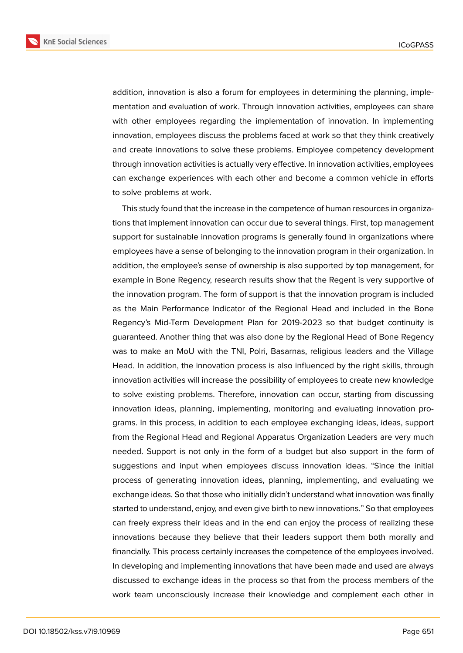**KnE Social Sciences** 



to solve problems at work. This study found that the increase in the competence of human resources in organizations that implement innovation can occur due to several things. First, top management support for sustainable innovation programs is generally found in organizations where employees have a sense of belonging to the innovation program in their organization. In addition, the employee's sense of ownership is also supported by top management, for example in Bone Regency, research results show that the Regent is very supportive of the innovation program. The form of support is that the innovation program is included

as the Main Performance Indicator of the Regional Head and included in the Bone Regency's Mid-Term Development Plan for 2019-2023 so that budget continuity is guaranteed. Another thing that was also done by the Regional Head of Bone Regency was to make an MoU with the TNI, Polri, Basarnas, religious leaders and the Village Head. In addition, the innovation process is also influenced by the right skills, through innovation activities will increase the possibility of employees to create new knowledge to solve existing problems. Therefore, innovation can occur, starting from discussing innovation ideas, planning, implementing, monitoring and evaluating innovation programs. In this process, in addition to each employee exchanging ideas, ideas, support from the Regional Head and Regional Apparatus Organization Leaders are very much needed. Support is not only in the form of a budget but also support in the form of suggestions and input when employees discuss innovation ideas. "Since the initial process of generating innovation ideas, planning, implementing, and evaluating we exchange ideas. So that those who initially didn't understand what innovation was finally started to understand, enjoy, and even give birth to new innovations." So that employees can freely express their ideas and in the end can enjoy the process of realizing these innovations because they believe that their leaders support them both morally and financially. This process certainly increases the competence of the employees involved. In developing and implementing innovations that have been made and used are always discussed to exchange ideas in the process so that from the process members of the work team unconsciously increase their knowledge and complement each other in

addition, innovation is also a forum for employees in determining the planning, implementation and evaluation of work. Through innovation activities, employees can share with other employees regarding the implementation of innovation. In implementing innovation, employees discuss the problems faced at work so that they think creatively and create innovations to solve these problems. Employee competency development through innovation activities is actually very effective. In innovation activities, employees can exchange experiences with each other and become a common vehicle in efforts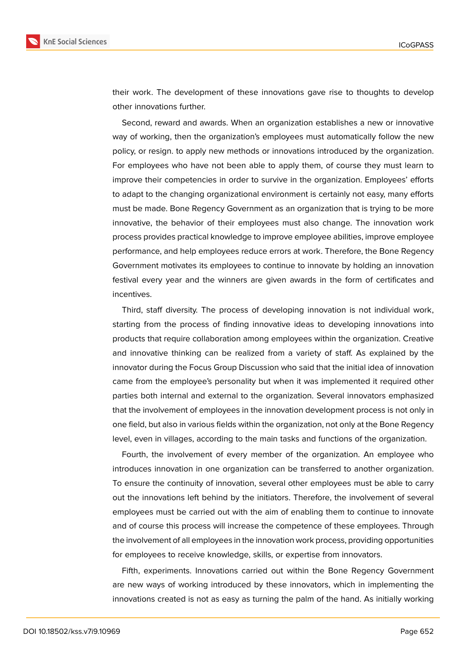

their work. The development of these innovations gave rise to thoughts to develop other innovations further.

Second, reward and awards. When an organization establishes a new or innovative way of working, then the organization's employees must automatically follow the new policy, or resign. to apply new methods or innovations introduced by the organization. For employees who have not been able to apply them, of course they must learn to improve their competencies in order to survive in the organization. Employees' efforts to adapt to the changing organizational environment is certainly not easy, many efforts must be made. Bone Regency Government as an organization that is trying to be more innovative, the behavior of their employees must also change. The innovation work process provides practical knowledge to improve employee abilities, improve employee performance, and help employees reduce errors at work. Therefore, the Bone Regency Government motivates its employees to continue to innovate by holding an innovation festival every year and the winners are given awards in the form of certificates and incentives.

Third, staff diversity. The process of developing innovation is not individual work, starting from the process of finding innovative ideas to developing innovations into products that require collaboration among employees within the organization. Creative and innovative thinking can be realized from a variety of staff. As explained by the innovator during the Focus Group Discussion who said that the initial idea of innovation came from the employee's personality but when it was implemented it required other parties both internal and external to the organization. Several innovators emphasized that the involvement of employees in the innovation development process is not only in one field, but also in various fields within the organization, not only at the Bone Regency level, even in villages, according to the main tasks and functions of the organization.

Fourth, the involvement of every member of the organization. An employee who introduces innovation in one organization can be transferred to another organization. To ensure the continuity of innovation, several other employees must be able to carry out the innovations left behind by the initiators. Therefore, the involvement of several employees must be carried out with the aim of enabling them to continue to innovate and of course this process will increase the competence of these employees. Through the involvement of all employees in the innovation work process, providing opportunities for employees to receive knowledge, skills, or expertise from innovators.

Fifth, experiments. Innovations carried out within the Bone Regency Government are new ways of working introduced by these innovators, which in implementing the innovations created is not as easy as turning the palm of the hand. As initially working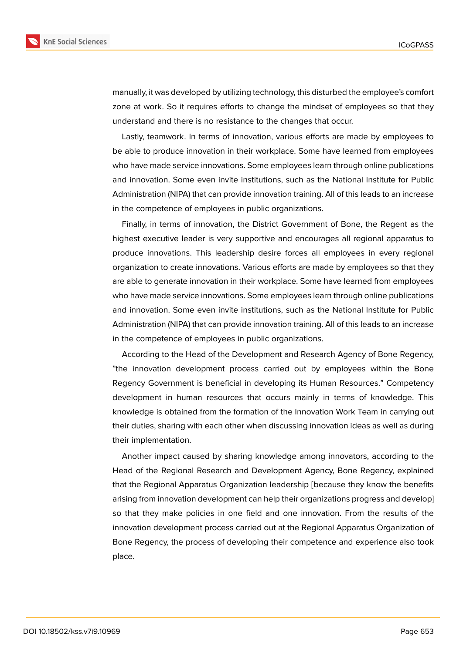

manually, it was developed by utilizing technology, this disturbed the employee's comfort zone at work. So it requires efforts to change the mindset of employees so that they understand and there is no resistance to the changes that occur.

Lastly, teamwork. In terms of innovation, various efforts are made by employees to be able to produce innovation in their workplace. Some have learned from employees who have made service innovations. Some employees learn through online publications and innovation. Some even invite institutions, such as the National Institute for Public Administration (NIPA) that can provide innovation training. All of this leads to an increase in the competence of employees in public organizations.

Finally, in terms of innovation, the District Government of Bone, the Regent as the highest executive leader is very supportive and encourages all regional apparatus to produce innovations. This leadership desire forces all employees in every regional organization to create innovations. Various efforts are made by employees so that they are able to generate innovation in their workplace. Some have learned from employees who have made service innovations. Some employees learn through online publications and innovation. Some even invite institutions, such as the National Institute for Public Administration (NIPA) that can provide innovation training. All of this leads to an increase in the competence of employees in public organizations.

According to the Head of the Development and Research Agency of Bone Regency, "the innovation development process carried out by employees within the Bone Regency Government is beneficial in developing its Human Resources." Competency development in human resources that occurs mainly in terms of knowledge. This knowledge is obtained from the formation of the Innovation Work Team in carrying out their duties, sharing with each other when discussing innovation ideas as well as during their implementation.

Another impact caused by sharing knowledge among innovators, according to the Head of the Regional Research and Development Agency, Bone Regency, explained that the Regional Apparatus Organization leadership [because they know the benefits arising from innovation development can help their organizations progress and develop] so that they make policies in one field and one innovation. From the results of the innovation development process carried out at the Regional Apparatus Organization of Bone Regency, the process of developing their competence and experience also took place.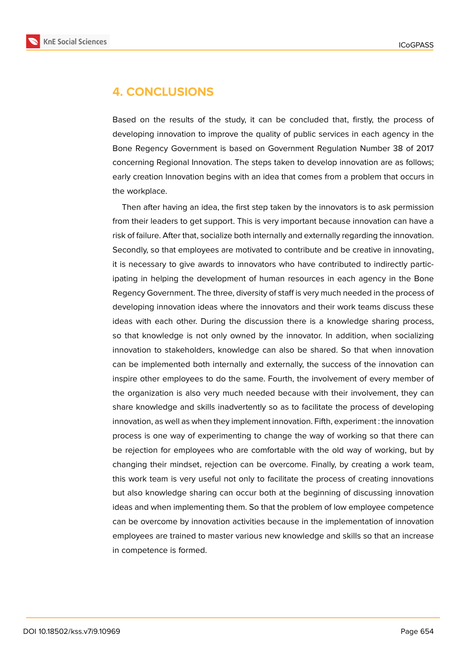

## **4. CONCLUSIONS**

Based on the results of the study, it can be concluded that, firstly, the process of developing innovation to improve the quality of public services in each agency in the Bone Regency Government is based on Government Regulation Number 38 of 2017 concerning Regional Innovation. The steps taken to develop innovation are as follows; early creation Innovation begins with an idea that comes from a problem that occurs in the workplace.

Then after having an idea, the first step taken by the innovators is to ask permission from their leaders to get support. This is very important because innovation can have a risk of failure. After that, socialize both internally and externally regarding the innovation. Secondly, so that employees are motivated to contribute and be creative in innovating, it is necessary to give awards to innovators who have contributed to indirectly participating in helping the development of human resources in each agency in the Bone Regency Government. The three, diversity of staff is very much needed in the process of developing innovation ideas where the innovators and their work teams discuss these ideas with each other. During the discussion there is a knowledge sharing process, so that knowledge is not only owned by the innovator. In addition, when socializing innovation to stakeholders, knowledge can also be shared. So that when innovation can be implemented both internally and externally, the success of the innovation can inspire other employees to do the same. Fourth, the involvement of every member of the organization is also very much needed because with their involvement, they can share knowledge and skills inadvertently so as to facilitate the process of developing innovation, as well as when they implement innovation. Fifth, experiment : the innovation process is one way of experimenting to change the way of working so that there can be rejection for employees who are comfortable with the old way of working, but by changing their mindset, rejection can be overcome. Finally, by creating a work team, this work team is very useful not only to facilitate the process of creating innovations but also knowledge sharing can occur both at the beginning of discussing innovation ideas and when implementing them. So that the problem of low employee competence can be overcome by innovation activities because in the implementation of innovation employees are trained to master various new knowledge and skills so that an increase in competence is formed.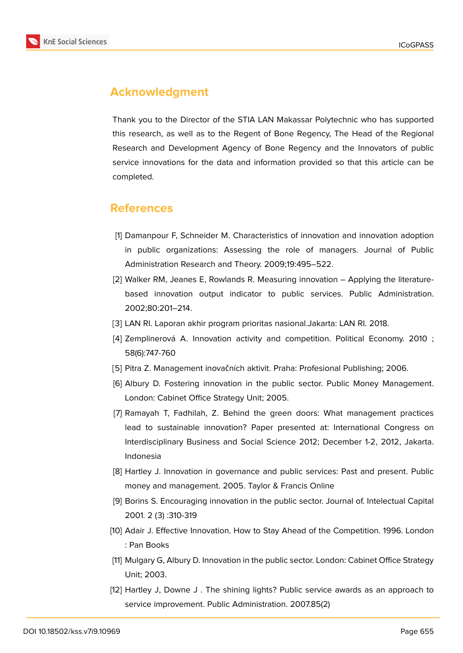

# **Acknowledgment**

Thank you to the Director of the STIA LAN Makassar Polytechnic who has supported this research, as well as to the Regent of Bone Regency, The Head of the Regional Research and Development Agency of Bone Regency and the Innovators of public service innovations for the data and information provided so that this article can be completed.

### **References**

- <span id="page-9-0"></span>[1] Damanpour F, Schneider M. Characteristics of innovation and innovation adoption in public organizations: Assessing the role of managers. Journal of Public Administration Research and Theory. 2009;19:495–522.
- <span id="page-9-9"></span>[2] Walker RM, Jeanes E, Rowlands R. Measuring innovation – Applying the literaturebased innovation output indicator to public services. Public Administration. 2002;80:201–214.
- <span id="page-9-1"></span>[3] LAN RI. Laporan akhir program prioritas nasional.Jakarta: LAN RI. 2018.
- <span id="page-9-7"></span>[4] Zemplinerová A. Innovation activity and competition. Political Economy. 2010 ; 58(6):747-760
- <span id="page-9-3"></span><span id="page-9-2"></span>[5] Pitra Z. Management inovačních aktivit. Praha: Profesional Publishing; 2006.
- [6] Albury D. Fostering innovation in the public sector. Public Money Management. London: Cabinet Office Strategy Unit; 2005.
- <span id="page-9-4"></span>[7] Ramayah T, Fadhilah, Z. Behind the green doors: What management practices lead to sustainable innovation? Paper presented at: International Congress on Interdisciplinary Business and Social Science 2012; December 1-2, 2012, Jakarta. Indonesia
- <span id="page-9-5"></span>[8] Hartley J. Innovation in governance and public services: Past and present. Public money and management. 2005. Taylor & Francis Online
- <span id="page-9-6"></span>[9] Borins S. Encouraging innovation in the public sector. Journal of. Intelectual Capital 2001. 2 (3) :310-319
- <span id="page-9-8"></span>[10] Adair J. Effective Innovation. How to Stay Ahead of the Competition. 1996. London : Pan Books
- <span id="page-9-10"></span>[11] Mulgary G, Albury D. Innovation in the public sector. London: Cabinet Office Strategy Unit; 2003.
- [12] Hartley J, Downe J . The shining lights? Public service awards as an approach to service improvement. Public Administration. 2007.85(2)